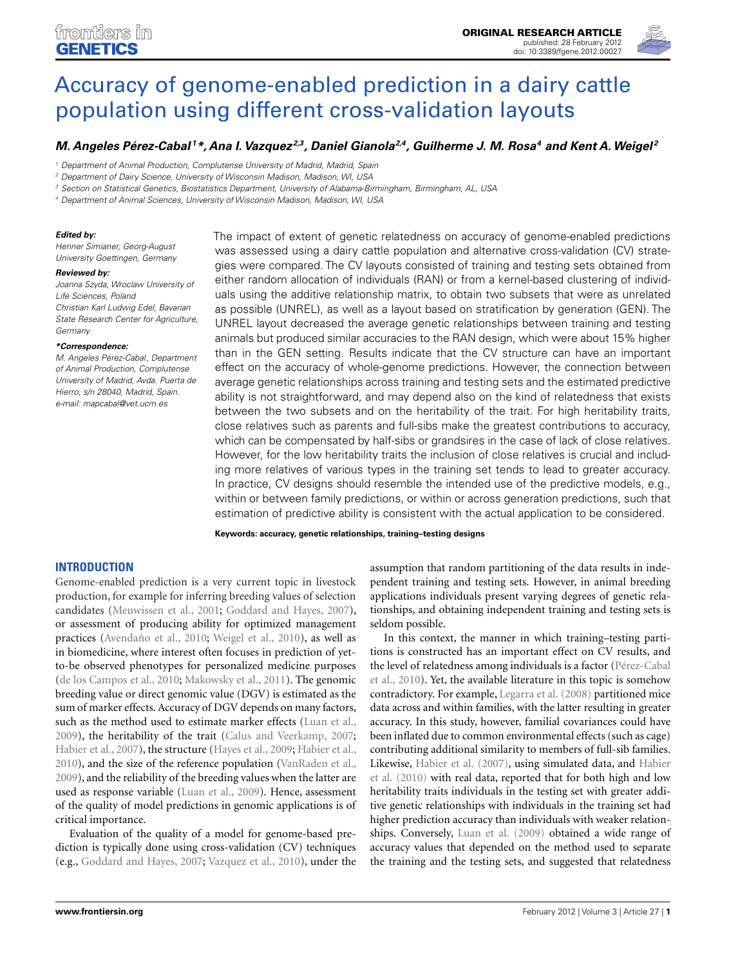

# [Accuracy of genome-enabled prediction in a dairy cattle](http://www.frontiersin.org/Livestock_Genomics/10.3389/fgene.2012.00027/abstract) population using different cross-validation layouts

# *[M. Angeles Pérez-Cabal](http://www.frontiersin.org/Community/WhosWhoDetails.aspx?UID=36555&d=1&sname=M_AngelesP�rez_Cabal&name=Science) 1\*, [Ana I. Vazquez](http://www.frontiersin.org/Community/WhosWhoDetails.aspx?UID=37593&d=1&sname=AnaVazquez&name=Science) 2,3, [Daniel Gianola2](http://www.frontiersin.org/Community/WhosWhoDetails.aspx?UID=24033&d=1&sname=DanielGianola&name=Science),4, [Guilherme J. M. Rosa4](http://www.frontiersin.org/Community/WhosWhoDetails.aspx?UID=14494&d=1&sname=GuilhermeRosa&name=Science) and Kent A.Weigel <sup>2</sup>*

<sup>1</sup> Department of Animal Production, Complutense University of Madrid, Madrid, Spain

<sup>2</sup> Department of Dairy Science, University of Wisconsin Madison, Madison, WI, USA

<sup>3</sup> Section on Statistical Genetics, Biostatistics Department, University of Alabama-Birmingham, Birmingham, AL, USA

<sup>4</sup> Department of Animal Sciences, University of Wisconsin Madison, Madison, WI, USA

#### *Edited by:*

Henner Simianer, Georg-August University Goettingen, Germany

#### *Reviewed by:*

Joanna Szyda, Wroclaw University of Life Sciences, Poland

Christian Karl Ludwig Edel, Bavarian State Research Center for Agriculture, Germany

#### *\*Correspondence:*

M. Angeles Pérez-Cabal, Department of Animal Production, Complutense University of Madrid, Avda. Puerta de Hierro, s/n 28040, Madrid, Spain. e-mail: [mapcabal@vet.ucm.es](mailto:mapcabal@vet.ucm.es)

The impact of extent of genetic relatedness on accuracy of genome-enabled predictions was assessed using a dairy cattle population and alternative cross-validation (CV) strategies were compared. The CV layouts consisted of training and testing sets obtained from either random allocation of individuals (RAN) or from a kernel-based clustering of individuals using the additive relationship matrix, to obtain two subsets that were as unrelated as possible (UNREL), as well as a layout based on stratification by generation (GEN). The UNREL layout decreased the average genetic relationships between training and testing animals but produced similar accuracies to the RAN design, which were about 15% higher than in the GEN setting. Results indicate that the CV structure can have an important effect on the accuracy of whole-genome predictions. However, the connection between average genetic relationships across training and testing sets and the estimated predictive ability is not straightforward, and may depend also on the kind of relatedness that exists between the two subsets and on the heritability of the trait. For high heritability traits, close relatives such as parents and full-sibs make the greatest contributions to accuracy, which can be compensated by half-sibs or grandsires in the case of lack of close relatives. However, for the low heritability traits the inclusion of close relatives is crucial and including more relatives of various types in the training set tends to lead to greater accuracy. In practice, CV designs should resemble the intended use of the predictive models, e.g., within or between family predictions, or within or across generation predictions, such that estimation of predictive ability is consistent with the actual application to be considered.

**Keywords: accuracy, genetic relationships, training–testing designs**

# **INTRODUCTION**

Genome-enabled prediction is a very current topic in livestock production, for example for inferring breeding values of selection candidates [\(Meuwissen et al., 2001](#page-6-0); [Goddard and Hayes, 2007](#page-5-0)), or assessment of producing ability for optimized management practices [\(Avendaño et al., 2010](#page-5-0); [Weigel et al., 2010](#page-6-0)), as well as in biomedicine, where interest often focuses in prediction of yetto-be observed phenotypes for personalized medicine purposes [\(de los Campos et al., 2010;](#page-5-0) [Makowsky et al., 2011](#page-6-0)). The genomic breeding value or direct genomic value (DGV) is estimated as the sum of marker effects. Accuracy of DGV depends on many factors, such as the method used to estimate marker effects [\(Luan et al.,](#page-6-0) [2009\)](#page-6-0), the heritability of the trait [\(Calus and Veerkamp, 2007;](#page-5-0) [Habier et al.](#page-6-0), [2007\)](#page-6-0), the structure [\(Hayes et al., 2009;](#page-6-0) [Habier et al.,](#page-6-0) [2010\)](#page-6-0), and the size of the reference population [\(VanRaden et al.,](#page-6-0) [2009\)](#page-6-0), and the reliability of the breeding values when the latter are used as response variable [\(Luan et al., 2009\)](#page-6-0). Hence, assessment of the quality of model predictions in genomic applications is of critical importance.

Evaluation of the quality of a model for genome-based prediction is typically done using cross-validation (CV) techniques (e.g., [Goddard and Hayes](#page-5-0), [2007](#page-5-0); [Vazquez et al.](#page-6-0), [2010](#page-6-0)), under the

assumption that random partitioning of the data results in independent training and testing sets. However, in animal breeding applications individuals present varying degrees of genetic relationships, and obtaining independent training and testing sets is seldom possible.

In this context, the manner in which training–testing partitions is constructed has an important effect on CV results, and the l[evel of relatedness among individuals is a factor \(](#page-6-0)Pérez-Cabal et al., [2010\)](#page-6-0). Yet, the available literature in this topic is somehow contradictory. For example, [Legarra et al.](#page-6-0) [\(2008\)](#page-6-0) partitioned mice data across and within families, with the latter resulting in greater accuracy. In this study, however, familial covariances could have been inflated due to common environmental effects (such as cage) contributing additional similarity to members of full-sib families. Likewise, [Habier et al. \(2007\), using simulated data, and](#page-6-0) Habier et al. [\(2010\)](#page-6-0) with real data, reported that for both high and low heritability traits individuals in the testing set with greater additive genetic relationships with individuals in the training set had higher prediction accuracy than individuals with weaker relationships. Conversely, [Luan et al.](#page-6-0) [\(2009](#page-6-0)) obtained a wide range of accuracy values that depended on the method used to separate the training and the testing sets, and suggested that relatedness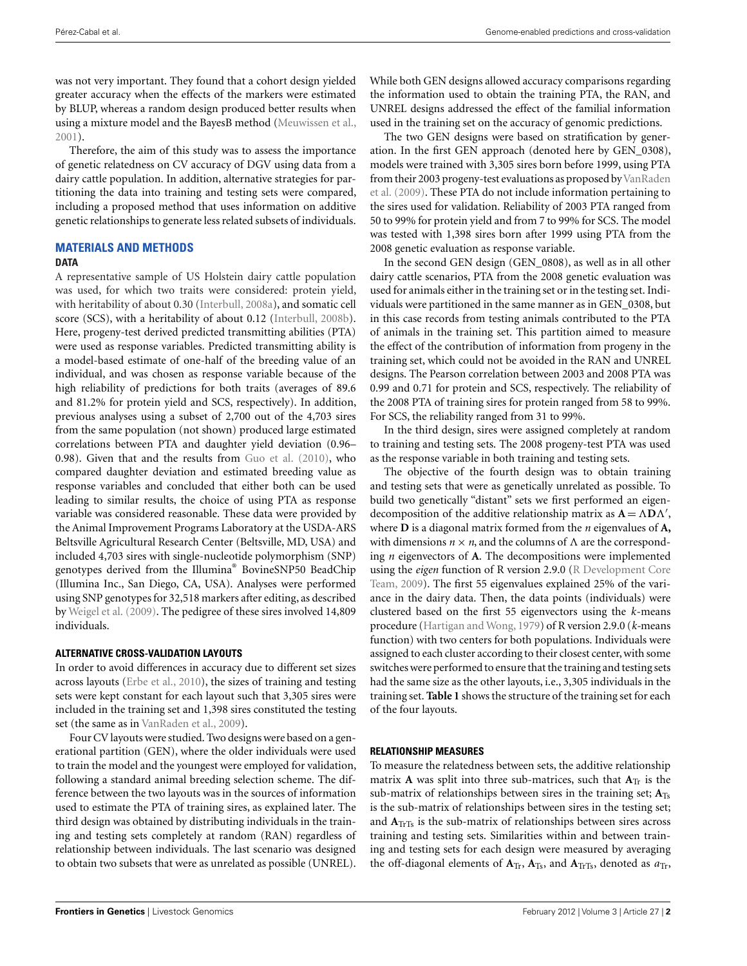was not very important. They found that a cohort design yielded greater accuracy when the effects of the markers were estimated by BLUP, whereas a random design produced better results when using a mixture model and the BayesB method [\(Meuwissen et al.,](#page-6-0) [2001\)](#page-6-0).

Therefore, the aim of this study was to assess the importance of genetic relatedness on CV accuracy of DGV using data from a dairy cattle population. In addition, alternative strategies for partitioning the data into training and testing sets were compared, including a proposed method that uses information on additive genetic relationships to generate less related subsets of individuals.

# **MATERIALS AND METHODS**

#### **DATA**

A representative sample of US Holstein dairy cattle population was used, for which two traits were considered: protein yield, with heritability of about 0.30 [\(Interbull](#page-6-0), [2008a\)](#page-6-0), and somatic cell score (SCS), with a heritability of about 0.12 [\(Interbull](#page-6-0), [2008b](#page-6-0)). Here, progeny-test derived predicted transmitting abilities (PTA) were used as response variables. Predicted transmitting ability is a model-based estimate of one-half of the breeding value of an individual, and was chosen as response variable because of the high reliability of predictions for both traits (averages of 89.6 and 81.2% for protein yield and SCS, respectively). In addition, previous analyses using a subset of 2,700 out of the 4,703 sires from the same population (not shown) produced large estimated correlations between PTA and daughter yield deviation (0.96– 0.98). Given that and the results from [Guo et al.](#page-6-0) [\(2010](#page-6-0)), who compared daughter deviation and estimated breeding value as response variables and concluded that either both can be used leading to similar results, the choice of using PTA as response variable was considered reasonable. These data were provided by the Animal Improvement Programs Laboratory at the USDA-ARS Beltsville Agricultural Research Center (Beltsville, MD, USA) and included 4,703 sires with single-nucleotide polymorphism (SNP) genotypes derived from the Illumina® BovineSNP50 BeadChip (Illumina Inc., San Diego, CA, USA). Analyses were performed using SNP genotypes for 32,518 markers after editing, as described by [Weigel et al.](#page-6-0) [\(2009\)](#page-6-0). The pedigree of these sires involved 14,809 individuals.

# **ALTERNATIVE CROSS-VALIDATION LAYOUTS**

In order to avoid differences in accuracy due to different set sizes across layouts [\(Erbe et al.](#page-5-0), [2010\)](#page-5-0), the sizes of training and testing sets were kept constant for each layout such that 3,305 sires were included in the training set and 1,398 sires constituted the testing set (the same as in [VanRaden et al., 2009](#page-6-0)).

Four CV layouts were studied. Two designs were based on a generational partition (GEN), where the older individuals were used to train the model and the youngest were employed for validation, following a standard animal breeding selection scheme. The difference between the two layouts was in the sources of information used to estimate the PTA of training sires, as explained later. The third design was obtained by distributing individuals in the training and testing sets completely at random (RAN) regardless of relationship between individuals. The last scenario was designed to obtain two subsets that were as unrelated as possible (UNREL).

While both GEN designs allowed accuracy comparisons regarding the information used to obtain the training PTA, the RAN, and UNREL designs addressed the effect of the familial information used in the training set on the accuracy of genomic predictions.

The two GEN designs were based on stratification by generation. In the first GEN approach (denoted here by GEN\_0308), models were trained with 3,305 sires born before 1999, using PTA from their 2003 progeny-test evaluations as proposed by VanRaden et al. [\(2009\)](#page-6-0). These PTA do not include information pertaining to the sires used for validation. Reliability of 2003 PTA ranged from 50 to 99% for protein yield and from 7 to 99% for SCS. The model was tested with 1,398 sires born after 1999 using PTA from the 2008 genetic evaluation as response variable.

In the second GEN design (GEN\_0808), as well as in all other dairy cattle scenarios, PTA from the 2008 genetic evaluation was used for animals either in the training set or in the testing set. Individuals were partitioned in the same manner as in GEN\_0308, but in this case records from testing animals contributed to the PTA of animals in the training set. This partition aimed to measure the effect of the contribution of information from progeny in the training set, which could not be avoided in the RAN and UNREL designs. The Pearson correlation between 2003 and 2008 PTA was 0.99 and 0.71 for protein and SCS, respectively. The reliability of the 2008 PTA of training sires for protein ranged from 58 to 99%. For SCS, the reliability ranged from 31 to 99%.

In the third design, sires were assigned completely at random to training and testing sets. The 2008 progeny-test PTA was used as the response variable in both training and testing sets.

The objective of the fourth design was to obtain training and testing sets that were as genetically unrelated as possible. To build two genetically "distant" sets we first performed an eigendecomposition of the additive relationship matrix as  $A = \Lambda D \Lambda'$ , where **D** is a diagonal matrix formed from the *n* eigenvalues of **A,** with dimensions  $n \times n$ , and the columns of  $\Lambda$  are the corresponding *n* eigenvectors of **A**. The decompositions were implemented using the *eigen* [function of R version 2.9.0 \(](#page-6-0)R Development Core Team, [2009\)](#page-6-0). The first 55 eigenvalues explained 25% of the variance in the dairy data. Then, the data points (individuals) were clustered based on the first 55 eigenvectors using the *k*-means procedure [\(Hartigan and Wong, 1979\)](#page-6-0) of R version 2.9.0 (*k-*means function) with two centers for both populations. Individuals were assigned to each cluster according to their closest center, with some switches were performed to ensure that the training and testing sets had the same size as the other layouts, i.e., 3,305 individuals in the training set. **[Table 1](#page-2-0)** shows the structure of the training set for each of the four layouts.

# **RELATIONSHIP MEASURES**

To measure the relatedness between sets, the additive relationship matrix **A** was split into three sub-matrices, such that  $A_{Tr}$  is the sub-matrix of relationships between sires in the training set; **A**Ts is the sub-matrix of relationships between sires in the testing set; and  $A_{\text{TrTs}}$  is the sub-matrix of relationships between sires across training and testing sets. Similarities within and between training and testing sets for each design were measured by averaging the off-diagonal elements of  $A_{Tr}$ ,  $A_{Ts}$ , and  $A_{TrTs}$ , denoted as  $a_{Tr}$ ,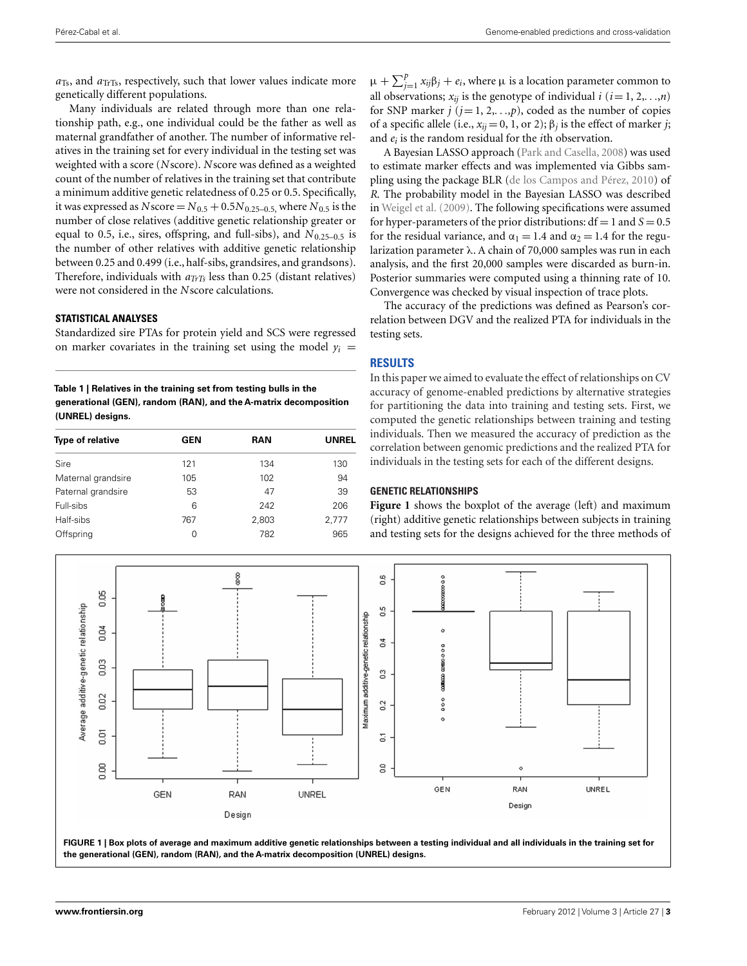<span id="page-2-0"></span>*a*Ts, and *a*TrTs, respectively, such that lower values indicate more genetically different populations.

Many individuals are related through more than one relationship path, e.g., one individual could be the father as well as maternal grandfather of another. The number of informative relatives in the training set for every individual in the testing set was weighted with a score (*N*score). *N*score was defined as a weighted count of the number of relatives in the training set that contribute a minimum additive genetic relatedness of 0.25 or 0.5. Specifically, it was expressed as *N* score =  $N_{0.5}$  + 0.5 $N_{0.25-0.5}$ , where  $N_{0.5}$  is the number of close relatives (additive genetic relationship greater or equal to 0.5, i.e., sires, offspring, and full-sibs), and  $N_{0.25-0.5}$  is the number of other relatives with additive genetic relationship between 0.25 and 0.499 (i.e., half-sibs, grandsires, and grandsons). Therefore, individuals with *aTrTs* less than 0.25 (distant relatives) were not considered in the *N*score calculations.

# **STATISTICAL ANALYSES**

Standardized sire PTAs for protein yield and SCS were regressed on marker covariates in the training set using the model  $y_i =$ 

**Table 1 | Relatives in the training set from testing bulls in the generational (GEN), random (RAN), and the A-matrix decomposition (UNREL) designs.**

| <b>Type of relative</b> | <b>GEN</b> | RAN   | <b>UNREL</b> |
|-------------------------|------------|-------|--------------|
| Sire                    | 121        | 134   | 130          |
| Maternal grandsire      | 105        | 102   | 94           |
| Paternal grandsire      | 53         | 47    | 39           |
| Full-sibs               | 6          | 242   | 206          |
| Half-sibs               | 767        | 2,803 | 2,777        |
| Offspring               | 0          | 782   | 965          |
|                         |            |       |              |

 $\mu + \sum_{j=1}^{p} x_{ij} \beta_j + e_i$ , where  $\mu$  is a location parameter common to all observations;  $x_{ij}$  is the genotype of individual  $i$  ( $i = 1, 2, \ldots, n$ ) for SNP marker  $j$  ( $j = 1, 2, \ldots, p$ ), coded as the number of copies of a specific allele (i.e.,  $x_{ij} = 0$ , 1, or 2);  $\beta_j$  is the effect of marker *j*; and *ei* is the random residual for the *i*th observation.

A Bayesian LASSO approach [\(Park and Casella](#page-6-0), [2008](#page-6-0)) was used to estimate marker effects and was implemented via Gibbs sampling using the package BLR [\(de los Campos and Pérez](#page-5-0), [2010\)](#page-5-0) of *R*. The probability model in the Bayesian LASSO was described in [Weigel et al.](#page-6-0) [\(2009\)](#page-6-0). The following specifications were assumed for hyper-parameters of the prior distributions:  $df = 1$  and  $S = 0.5$ for the residual variance, and  $\alpha_1 = 1.4$  and  $\alpha_2 = 1.4$  for the regularization parameter λ. A chain of 70,000 samples was run in each analysis, and the first 20,000 samples were discarded as burn-in. Posterior summaries were computed using a thinning rate of 10. Convergence was checked by visual inspection of trace plots.

The accuracy of the predictions was defined as Pearson's correlation between DGV and the realized PTA for individuals in the testing sets.

# **RESULTS**

In this paper we aimed to evaluate the effect of relationships on CV accuracy of genome-enabled predictions by alternative strategies for partitioning the data into training and testing sets. First, we computed the genetic relationships between training and testing individuals. Then we measured the accuracy of prediction as the correlation between genomic predictions and the realized PTA for individuals in the testing sets for each of the different designs.

#### **GENETIC RELATIONSHIPS**

**Figure 1** shows the boxplot of the average (left) and maximum (right) additive genetic relationships between subjects in training and testing sets for the designs achieved for the three methods of



**FIGURE 1 | Box plots of average and maximum additive genetic relationships between a testing individual and all individuals in the training set for the generational (GEN), random (RAN), and the A-matrix decomposition (UNREL) designs.**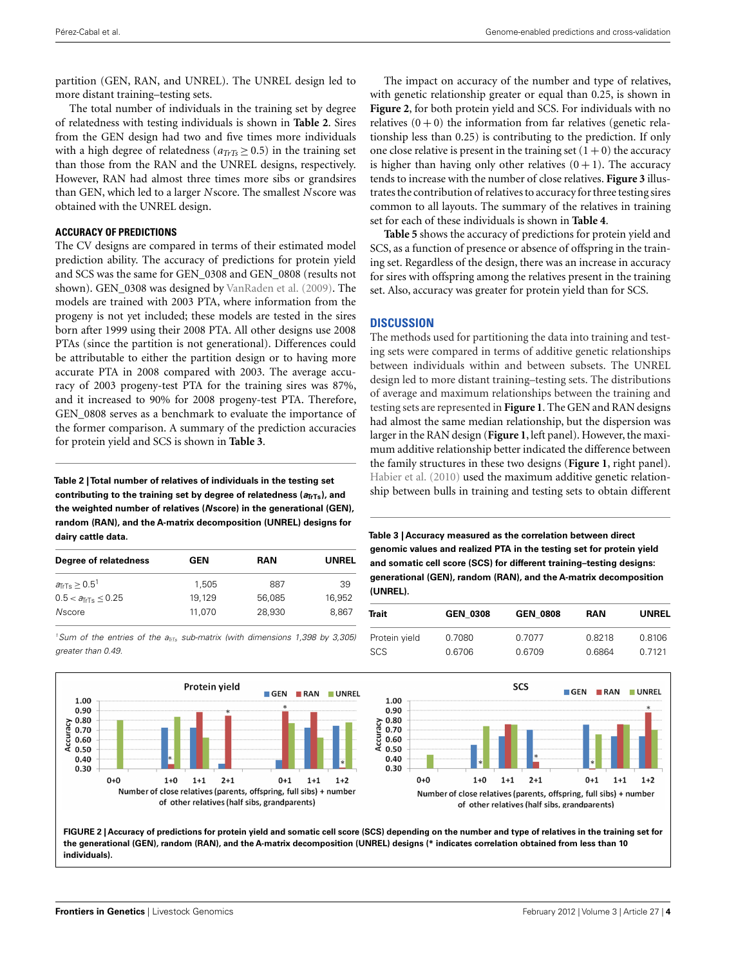<span id="page-3-0"></span>partition (GEN, RAN, and UNREL). The UNREL design led to more distant training–testing sets.

The total number of individuals in the training set by degree of relatedness with testing individuals is shown in **Table 2**. Sires from the GEN design had two and five times more individuals with a high degree of relatedness ( $a_{TTS} \geq 0.5$ ) in the training set than those from the RAN and the UNREL designs, respectively. However, RAN had almost three times more sibs or grandsires than GEN, which led to a larger *N*score. The smallest *N*score was obtained with the UNREL design.

### **ACCURACY OF PREDICTIONS**

The CV designs are compared in terms of their estimated model prediction ability. The accuracy of predictions for protein yield and SCS was the same for GEN\_0308 and GEN\_0808 (results not shown). GEN 0308 was designed by [VanRaden et al.](#page-6-0) [\(2009\)](#page-6-0). The models are trained with 2003 PTA, where information from the progeny is not yet included; these models are tested in the sires born after 1999 using their 2008 PTA. All other designs use 2008 PTAs (since the partition is not generational). Differences could be attributable to either the partition design or to having more accurate PTA in 2008 compared with 2003. The average accuracy of 2003 progeny-test PTA for the training sires was 87%, and it increased to 90% for 2008 progeny-test PTA. Therefore, GEN\_0808 serves as a benchmark to evaluate the importance of the former comparison. A summary of the prediction accuracies for protein yield and SCS is shown in **Table 3**.

**Table 2 | Total number of relatives of individuals in the testing set** contributing to the training set by degree of relatedness ( $a_{\text{TrTs}}$ ), and **the weighted number of relatives (***N***score) in the generational (GEN), random (RAN), and the A-matrix decomposition (UNREL) designs for dairy cattle data.**

| GEN    | <b>RAN</b> | <b>UNREL</b> |
|--------|------------|--------------|
| 1.505  | 887        | 39           |
| 19.129 | 56,085     | 16.952       |
| 11.070 | 28,930     | 8.867        |
|        |            |              |

<sup>1</sup>Sum of the entries of the  $a_{\overline{n_{15}}}$  sub-matrix (with dimensions 1,398 by 3,305) greater than 0.49.



The impact on accuracy of the number and type of relatives, with genetic relationship greater or equal than 0.25, is shown in **Figure 2**, for both protein yield and SCS. For individuals with no relatives  $(0+0)$  the information from far relatives (genetic relationship less than 0.25) is contributing to the prediction. If only one close relative is present in the training set  $(1 + 0)$  the accuracy is higher than having only other relatives  $(0 + 1)$ . The accuracy tends to increase with the number of close relatives. **[Figure 3](#page-4-0)** illustrates the contribution of relatives to accuracyfor three testing sires common to all layouts. The summary of the relatives in training set for each of these individuals is shown in **[Table 4](#page-4-0)**.

**[Table 5](#page-4-0)** shows the accuracy of predictions for protein yield and SCS, as a function of presence or absence of offspring in the training set. Regardless of the design, there was an increase in accuracy for sires with offspring among the relatives present in the training set. Also, accuracy was greater for protein yield than for SCS.

# **DISCUSSION**

The methods used for partitioning the data into training and testing sets were compared in terms of additive genetic relationships between individuals within and between subsets. The UNREL design led to more distant training–testing sets. The distributions of average and maximum relationships between the training and testing sets are represented in **[Figure 1](#page-2-0)**. The GEN and RAN designs had almost the same median relationship, but the dispersion was larger in the RAN design (**[Figure 1](#page-2-0)**, left panel). However, the maximum additive relationship better indicated the difference between the family structures in these two designs (**[Figure 1](#page-2-0)**, right panel). [Habier et al.](#page-6-0) [\(2010\)](#page-6-0) used the maximum additive genetic relationship between bulls in training and testing sets to obtain different

**Table 3 | Accuracy measured as the correlation between direct genomic values and realized PTA in the testing set for protein yield and somatic cell score (SCS) for different training–testing designs: generational (GEN), random (RAN), and the A-matrix decomposition (UNREL).**

| Trait         | <b>GEN 0308</b> | <b>GEN 0808</b> | <b>RAN</b> | <b>UNREL</b> |
|---------------|-----------------|-----------------|------------|--------------|
| Protein yield | 0.7080          | 0.7077          | 0.8218     | 0.8106       |
| <b>SCS</b>    | 0.6706          | 0.6709          | 0.6864     | 0 7 1 2 1    |



**FIGURE 2 | Accuracy of predictions for protein yield and somatic cell score (SCS) depending on the number and type of relatives in the training set for the generational (GEN), random (RAN), and the A-matrix decomposition (UNREL) designs (\* indicates correlation obtained from less than 10 individuals).**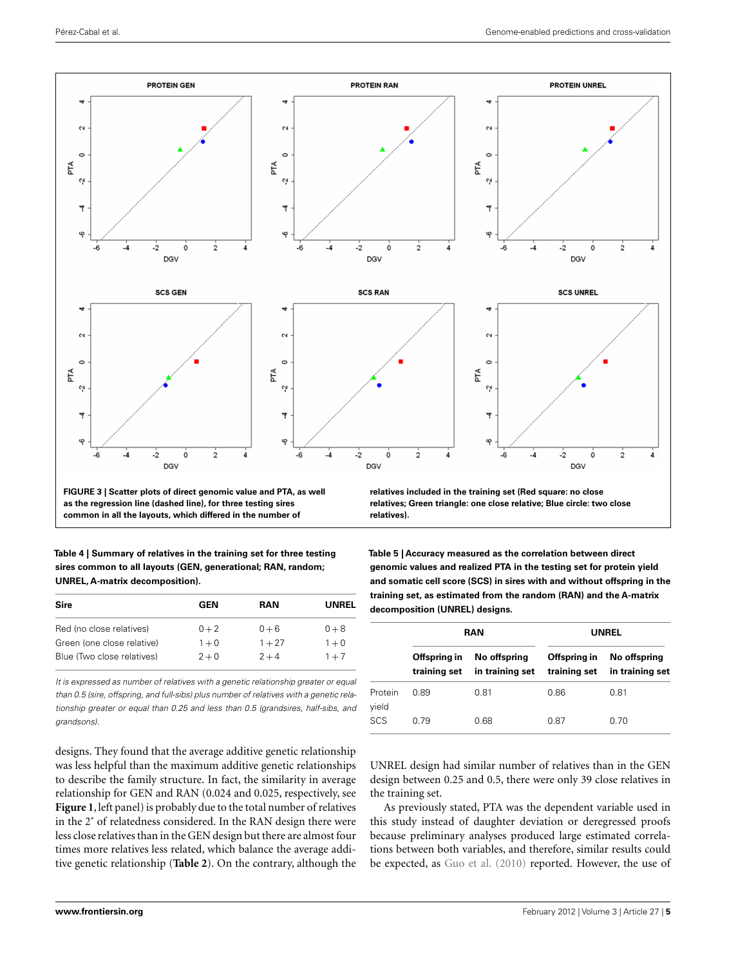<span id="page-4-0"></span>

**as the regression line (dashed line), for three testing sires common in all the layouts, which differed in the number of**

**Table 4 | Summary of relatives in the training set for three testing sires common to all layouts (GEN, generational; RAN, random; UNREL, A-matrix decomposition).**

| GEN     | <b>RAN</b> | UNREL   |
|---------|------------|---------|
| $0 + 2$ | $0 + 6$    | $0 + 8$ |
| $1 + 0$ | $1 + 27$   | $1 + 0$ |
| $2 + 0$ | $2 + 4$    | $1 + 7$ |
|         |            |         |

It is expressed as number of relatives with a genetic relationship greater or equal than 0.5 (sire, offspring, and full-sibs) plus number of relatives with a genetic relationship greater or equal than 0.25 and less than 0.5 (grandsires, half-sibs, and grandsons).

designs. They found that the average additive genetic relationship was less helpful than the maximum additive genetic relationships to describe the family structure. In fact, the similarity in average relationship for GEN and RAN (0.024 and 0.025, respectively, see **[Figure 1](#page-2-0)**, left panel) is probably due to the total number of relatives in the 2˚ of relatedness considered. In the RAN design there were less close relatives than in the GEN design but there are almost four times more relatives less related, which balance the average additive genetic relationship (**[Table 2](#page-3-0)**). On the contrary, although the **relatives; Green triangle: one close relative; Blue circle: two close relatives).**

**Table 5 | Accuracy measured as the correlation between direct genomic values and realized PTA in the testing set for protein yield and somatic cell score (SCS) in sires with and without offspring in the training set, as estimated from the random (RAN) and the A-matrix decomposition (UNREL) designs.**

|                  | RAN                          |                                 | <b>UNREL</b>                 |                                 |
|------------------|------------------------------|---------------------------------|------------------------------|---------------------------------|
|                  | Offspring in<br>training set | No offspring<br>in training set | Offspring in<br>training set | No offspring<br>in training set |
| Protein<br>yield | 0.89                         | 0.81                            | 0.86                         | 0.81                            |
| <b>SCS</b>       | 0.79                         | 0.68                            | 0.87                         | 0.70                            |

UNREL design had similar number of relatives than in the GEN design between 0.25 and 0.5, there were only 39 close relatives in the training set.

As previously stated, PTA was the dependent variable used in this study instead of daughter deviation or deregressed proofs because preliminary analyses produced large estimated correlations between both variables, and therefore, similar results could be expected, as [Guo et al.](#page-6-0) [\(2010\)](#page-6-0) reported. However, the use of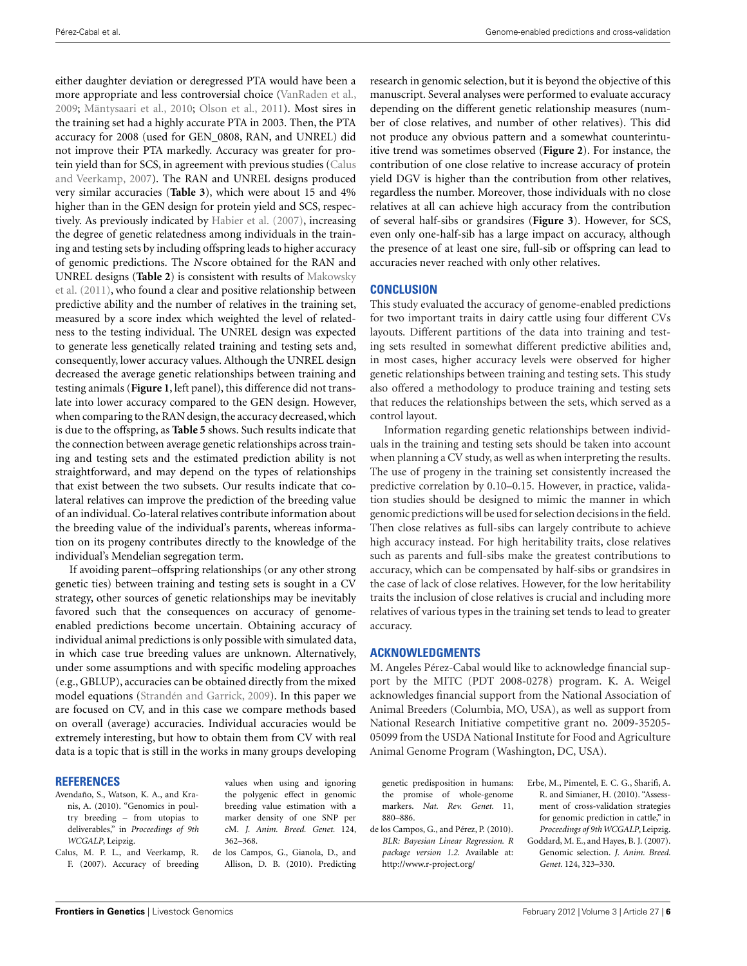<span id="page-5-0"></span>either daughter deviation or deregressed PTA would have been a more appropriate and less controversial choice [\(VanRaden et al.,](#page-6-0) [2009;](#page-6-0) [Mäntysaari et al.](#page-6-0), [2010;](#page-6-0) [Olson et al., 2011](#page-6-0)). Most sires in the training set had a highly accurate PTA in 2003. Then, the PTA accuracy for 2008 (used for GEN\_0808, RAN, and UNREL) did not improve their PTA markedly. Accuracy was greater for protein yield than for SCS, in agreement with previous studies (Calus and Veerkamp, 2007). The RAN and UNREL designs produced very similar accuracies (**[Table 3](#page-3-0)**), which were about 15 and 4% higher than in the GEN design for protein yield and SCS, respectively. As previously indicated by [Habier et al.](#page-6-0) [\(2007](#page-6-0)), increasing the degree of genetic relatedness among individuals in the training and testing sets by including offspring leads to higher accuracy of genomic predictions. The *N*score obtained for the RAN and UNREL designs (**[Table 2](#page-3-0)**[\)](#page-6-0) [is](#page-6-0) [consistent](#page-6-0) [with](#page-6-0) [results](#page-6-0) [of](#page-6-0) Makowsky et al. [\(2011](#page-6-0)), who found a clear and positive relationship between predictive ability and the number of relatives in the training set, measured by a score index which weighted the level of relatedness to the testing individual. The UNREL design was expected to generate less genetically related training and testing sets and, consequently, lower accuracy values. Although the UNREL design decreased the average genetic relationships between training and testing animals (**[Figure 1](#page-2-0)**, left panel), this difference did not translate into lower accuracy compared to the GEN design. However, when comparing to the RAN design, the accuracy decreased,which is due to the offspring, as **[Table 5](#page-4-0)** shows. Such results indicate that the connection between average genetic relationships across training and testing sets and the estimated prediction ability is not straightforward, and may depend on the types of relationships that exist between the two subsets. Our results indicate that colateral relatives can improve the prediction of the breeding value of an individual. Co-lateral relatives contribute information about the breeding value of the individual's parents, whereas information on its progeny contributes directly to the knowledge of the individual's Mendelian segregation term.

If avoiding parent–offspring relationships (or any other strong genetic ties) between training and testing sets is sought in a CV strategy, other sources of genetic relationships may be inevitably favored such that the consequences on accuracy of genomeenabled predictions become uncertain. Obtaining accuracy of individual animal predictions is only possible with simulated data, in which case true breeding values are unknown. Alternatively, under some assumptions and with specific modeling approaches (e.g., GBLUP), accuracies can be obtained directly from the mixed model equations [\(Strandén and Garrick](#page-6-0), [2009](#page-6-0)). In this paper we are focused on CV, and in this case we compare methods based on overall (average) accuracies. Individual accuracies would be extremely interesting, but how to obtain them from CV with real data is a topic that is still in the works in many groups developing

#### **REFERENCES**

- Avendaño, S., Watson, K. A., and Kranis, A. (2010). "Genomics in poultry breeding – from utopias to deliverables," in *Proceedings of 9th WCGALP*, Leipzig.
- Calus, M. P. L., and Veerkamp, R. F. (2007). Accuracy of breeding

values when using and ignoring the polygenic effect in genomic breeding value estimation with a marker density of one SNP per cM. *J. Anim. Breed. Genet.* 124, 362–368.

de los Campos, G., Gianola, D., and Allison, D. B. (2010). Predicting research in genomic selection, but it is beyond the objective of this manuscript. Several analyses were performed to evaluate accuracy depending on the different genetic relationship measures (number of close relatives, and number of other relatives). This did not produce any obvious pattern and a somewhat counterintuitive trend was sometimes observed (**[Figure 2](#page-3-0)**). For instance, the contribution of one close relative to increase accuracy of protein yield DGV is higher than the contribution from other relatives, regardless the number. Moreover, those individuals with no close relatives at all can achieve high accuracy from the contribution of several half-sibs or grandsires (**[Figure 3](#page-4-0)**). However, for SCS, even only one-half-sib has a large impact on accuracy, although the presence of at least one sire, full-sib or offspring can lead to accuracies never reached with only other relatives.

#### **CONCLUSION**

This study evaluated the accuracy of genome-enabled predictions for two important traits in dairy cattle using four different CVs layouts. Different partitions of the data into training and testing sets resulted in somewhat different predictive abilities and, in most cases, higher accuracy levels were observed for higher genetic relationships between training and testing sets. This study also offered a methodology to produce training and testing sets that reduces the relationships between the sets, which served as a control layout.

Information regarding genetic relationships between individuals in the training and testing sets should be taken into account when planning a CV study, as well as when interpreting the results. The use of progeny in the training set consistently increased the predictive correlation by 0.10–0.15. However, in practice, validation studies should be designed to mimic the manner in which genomic predictions will be used for selection decisions in the field. Then close relatives as full-sibs can largely contribute to achieve high accuracy instead. For high heritability traits, close relatives such as parents and full-sibs make the greatest contributions to accuracy, which can be compensated by half-sibs or grandsires in the case of lack of close relatives. However, for the low heritability traits the inclusion of close relatives is crucial and including more relatives of various types in the training set tends to lead to greater accuracy.

#### **ACKNOWLEDGMENTS**

M. Angeles Pérez-Cabal would like to acknowledge financial support by the MITC (PDT 2008-0278) program. K. A. Weigel acknowledges financial support from the National Association of Animal Breeders (Columbia, MO, USA), as well as support from National Research Initiative competitive grant no. 2009-35205- 05099 from the USDA National Institute for Food and Agriculture Animal Genome Program (Washington, DC, USA).

genetic predisposition in humans: the promise of whole-genome markers. *Nat. Rev. Genet.* 11, 880–886.

de los Campos, G., and Pérez, P. (2010). *BLR: Bayesian Linear Regression. R package version 1.2*. Available at: <http://www.r-project.org/>

Erbe, M., Pimentel, E. C. G., Sharifi, A. R. and Simianer, H. (2010). "Assessment of cross-validation strategies for genomic prediction in cattle," in *Proceedings of 9thWCGALP*, Leipzig. Goddard, M. E., and Hayes, B. J. (2007). Genomic selection. *J. Anim. Breed.*

*Genet.* 124, 323–330.